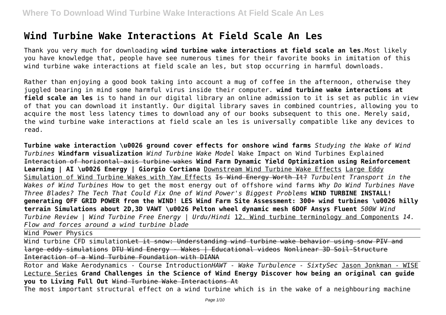# **Wind Turbine Wake Interactions At Field Scale An Les**

Thank you very much for downloading **wind turbine wake interactions at field scale an les**.Most likely you have knowledge that, people have see numerous times for their favorite books in imitation of this wind turbine wake interactions at field scale an les, but stop occurring in harmful downloads.

Rather than enjoying a good book taking into account a mug of coffee in the afternoon, otherwise they juggled bearing in mind some harmful virus inside their computer. **wind turbine wake interactions at field scale an les** is to hand in our digital library an online admission to it is set as public in view of that you can download it instantly. Our digital library saves in combined countries, allowing you to acquire the most less latency times to download any of our books subsequent to this one. Merely said, the wind turbine wake interactions at field scale an les is universally compatible like any devices to read.

**Turbine wake interaction \u0026 ground cover effects for onshore wind farms** *Studying the Wake of Wind Turbines* **Windfarm visualization** *Wind Turbine Wake Model* Wake Impact on Wind Turbines Explained Interaction of horizontal-axis turbine wakes **Wind Farm Dynamic Yield Optimization using Reinforcement Learning | AI \u0026 Energy | Giorgio Cortiana** Downstream Wind Turbine Wake Effects Large Eddy Simulation of Wind Turbine Wakes with Yaw Effects Is Wind Energy Worth It? *Turbulent Transport in the Wakes of Wind Turbines* How to get the most energy out of offshore wind farms *Why Do Wind Turbines Have Three Blades? The Tech That Could Fix One of Wind Power's Biggest Problems* **WIND TURBINE INSTALL! generating OFF GRID POWER from the WIND! LES Wind Farm Site Assessment: 300+ wind turbines \u0026 hilly terrain Simulations about 2D,3D VAWT \u0026 Pelton wheel dynamic mesh 6DOF Ansys Fluent** *500W Wind Turbine Review | Wind Turbine Free Energy | Urdu/Hindi* 12. Wind turbine terminology and Components *14. Flow and forces around a wind turbine blade*

Wind Power Physics

Wind turbine CFD simulation<del>Let it snow: Understanding wind turbine wake behavior using snow PIV and</del> large eddy simulations DTU Wind Energy - Wakes | Educational videos Nonlinear 3D Soil-Structure Interaction of a Wind Turbine Foundation with DIANA

Rotor and Wake Aerodynamics - Course Introduction*HAWT - Wake Turbulence - SixtySec* Jason Jonkman - WISE Lecture Series **Grand Challenges in the Science of Wind Energy Discover how being an original can guide you to Living Full Out** Wind Turbine Wake Interactions At

The most important structural effect on a wind turbine which is in the wake of a neighbouring machine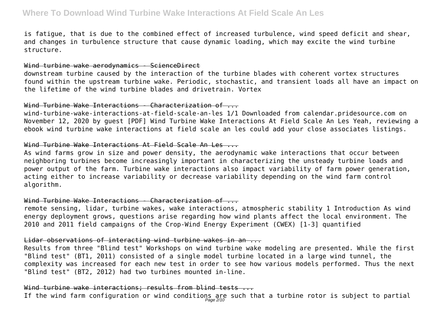is fatigue, that is due to the combined effect of increased turbulence, wind speed deficit and shear, and changes in turbulence structure that cause dynamic loading, which may excite the wind turbine structure.

#### Wind turbine wake aerodynamics - ScienceDirect

downstream turbine caused by the interaction of the turbine blades with coherent vortex structures found within the upstream turbine wake. Periodic, stochastic, and transient loads all have an impact on the lifetime of the wind turbine blades and drivetrain. Vortex

#### Wind Turbine Wake Interactions - Characterization of ...

wind-turbine-wake-interactions-at-field-scale-an-les 1/1 Downloaded from calendar.pridesource.com on November 12, 2020 by guest [PDF] Wind Turbine Wake Interactions At Field Scale An Les Yeah, reviewing a ebook wind turbine wake interactions at field scale an les could add your close associates listings.

#### Wind Turbine Wake Interactions At Field Scale An Les ...

As wind farms grow in size and power density, the aerodynamic wake interactions that occur between neighboring turbines become increasingly important in characterizing the unsteady turbine loads and power output of the farm. Turbine wake interactions also impact variability of farm power generation, acting either to increase variability or decrease variability depending on the wind farm control algorithm.

#### Wind Turbine Wake Interactions - Characterization of  $\cdots$

remote sensing, lidar, turbine wakes, wake interactions, atmospheric stability 1 Introduction As wind energy deployment grows, questions arise regarding how wind plants affect the local environment. The 2010 and 2011 field campaigns of the Crop-Wind Energy Experiment (CWEX) [1-3] quantified

#### Lidar observations of interacting wind turbine wakes in an ...

Results from three "Blind test" Workshops on wind turbine wake modeling are presented. While the first "Blind test" (BT1, 2011) consisted of a single model turbine located in a large wind tunnel, the complexity was increased for each new test in order to see how various models performed. Thus the next "Blind test" (BT2, 2012) had two turbines mounted in-line.

#### Wind turbine wake interactions: results from blind tests ...

If the wind farm configuration or wind conditions are such that a turbine rotor is subject to partial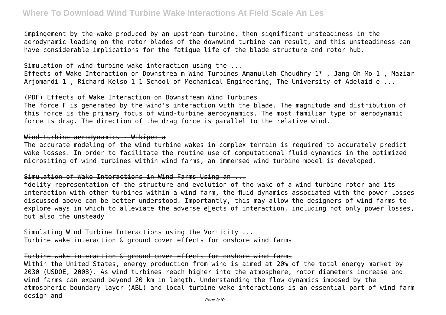impingement by the wake produced by an upstream turbine, then significant unsteadiness in the aerodynamic loading on the rotor blades of the downwind turbine can result, and this unsteadiness can have considerable implications for the fatigue life of the blade structure and rotor hub.

#### Simulation of wind turbine wake interaction using the ...

Effects of Wake Interaction on Downstrea m Wind Turbines Amanullah Choudhry 1\* , Jang-Oh Mo 1 , Maziar Arjomandi 1, Richard Kelso 1 1 School of Mechanical Engineering, The University of Adelaid e ...

#### (PDF) Effects of Wake Interaction on Downstream Wind Turbines

The force F is generated by the wind's interaction with the blade. The magnitude and distribution of this force is the primary focus of wind-turbine aerodynamics. The most familiar type of aerodynamic force is drag. The direction of the drag force is parallel to the relative wind.

#### Wind-turbine aerodynamics - Wikipedia

The accurate modeling of the wind turbine wakes in complex terrain is required to accurately predict wake losses. In order to facilitate the routine use of computational fluid dynamics in the optimized micrositing of wind turbines within wind farms, an immersed wind turbine model is developed.

#### Simulation of Wake Interactions in Wind Farms Using an ...

fidelity representation of the structure and evolution of the wake of a wind turbine rotor and its interaction with other turbines within a wind farm, the fluid dynamics associated with the power losses discussed above can be better understood. Importantly, this may allow the designers of wind farms to explore ways in which to alleviate the adverse enects of interaction, including not only power losses, but also the unsteady

Simulating Wind Turbine Interactions using the Vorticity ... Turbine wake interaction & ground cover effects for onshore wind farms

#### Turbine wake interaction & ground cover effects for onshore wind farms

Within the United States, energy production from wind is aimed at 20% of the total energy market by 2030 (USDOE, 2008). As wind turbines reach higher into the atmosphere, rotor diameters increase and wind farms can expand beyond 20 km in length. Understanding the flow dynamics imposed by the atmospheric boundary layer (ABL) and local turbine wake interactions is an essential part of wind farm design and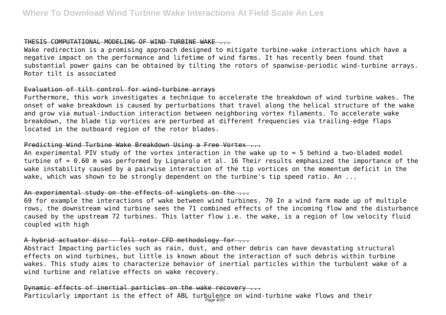#### THESIS COMPUTATIONAL MODELING OF WIND TURBINE WAKE ...

Wake redirection is a promising approach designed to mitigate turbine-wake interactions which have a negative impact on the performance and lifetime of wind farms. It has recently been found that substantial power gains can be obtained by tilting the rotors of spanwise-periodic wind-turbine arrays. Rotor tilt is associated

#### Evaluation of tilt control for wind-turbine arrays

Furthermore, this work investigates a technique to accelerate the breakdown of wind turbine wakes. The onset of wake breakdown is caused by perturbations that travel along the helical structure of the wake and grow via mutual-induction interaction between neighboring vortex filaments. To accelerate wake breakdown, the blade tip vortices are perturbed at different frequencies via trailing-edge flaps located in the outboard region of the rotor blades.

#### Predicting Wind Turbine Wake Breakdown Using a Free Vortex ...

An experimental PIV study of the vortex interaction in the wake up to = 5 behind a two-bladed model turbine of = 0.60 m was performed by Lignarolo et al. 16 Their results emphasized the importance of the wake instability caused by a pairwise interaction of the tip vortices on the momentum deficit in the wake, which was shown to be strongly dependent on the turbine's tip speed ratio. An ...

#### An experimental study on the effects of winglets on the ...

69 for example the interactions of wake between wind turbines. 70 In a wind farm made up of multiple rows, the downstream wind turbine sees the 71 combined effects of the incoming flow and the disturbance caused by the upstream 72 turbines. This latter flow i.e. the wake, is a region of low velocity fluid coupled with high

#### A hybrid actuator disc - full rotor CFD methodology for ...

Abstract Impacting particles such as rain, dust, and other debris can have devastating structural effects on wind turbines, but little is known about the interaction of such debris within turbine wakes. This study aims to characterize behavior of inertial particles within the turbulent wake of a wind turbine and relative effects on wake recovery.

Dynamic effects of inertial particles on the wake recovery ... Particularly important is the effect of ABL turbulence on wind-turbine wake flows and their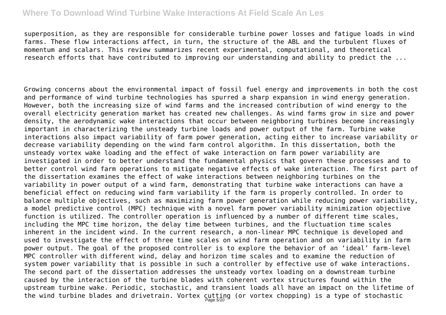superposition, as they are responsible for considerable turbine power losses and fatigue loads in wind farms. These flow interactions affect, in turn, the structure of the ABL and the turbulent fluxes of momentum and scalars. This review summarizes recent experimental, computational, and theoretical research efforts that have contributed to improving our understanding and ability to predict the ...

Growing concerns about the environmental impact of fossil fuel energy and improvements in both the cost and performance of wind turbine technologies has spurred a sharp expansion in wind energy generation. However, both the increasing size of wind farms and the increased contribution of wind energy to the overall electricity generation market has created new challenges. As wind farms grow in size and power density, the aerodynamic wake interactions that occur between neighboring turbines become increasingly important in characterizing the unsteady turbine loads and power output of the farm. Turbine wake interactions also impact variability of farm power generation, acting either to increase variability or decrease variability depending on the wind farm control algorithm. In this dissertation, both the unsteady vortex wake loading and the effect of wake interaction on farm power variability are investigated in order to better understand the fundamental physics that govern these processes and to better control wind farm operations to mitigate negative effects of wake interaction. The first part of the dissertation examines the effect of wake interactions between neighboring turbines on the variability in power output of a wind farm, demonstrating that turbine wake interactions can have a beneficial effect on reducing wind farm variability if the farm is properly controlled. In order to balance multiple objectives, such as maximizing farm power generation while reducing power variability, a model predictive control (MPC) technique with a novel farm power variability minimization objective function is utilized. The controller operation is influenced by a number of different time scales, including the MPC time horizon, the delay time between turbines, and the fluctuation time scales inherent in the incident wind. In the current research, a non-linear MPC technique is developed and used to investigate the effect of three time scales on wind farm operation and on variability in farm power output. The goal of the proposed controller is to explore the behavior of an 'ideal' farm-level MPC controller with different wind, delay and horizon time scales and to examine the reduction of system power variability that is possible in such a controller by effective use of wake interactions. The second part of the dissertation addresses the unsteady vortex loading on a downstream turbine caused by the interaction of the turbine blades with coherent vortex structures found within the upstream turbine wake. Periodic, stochastic, and transient loads all have an impact on the lifetime of the wind turbine blades and drivetrain. Vortex  $\frac{C}{Page\,5710}$  (or vortex chopping) is a type of stochastic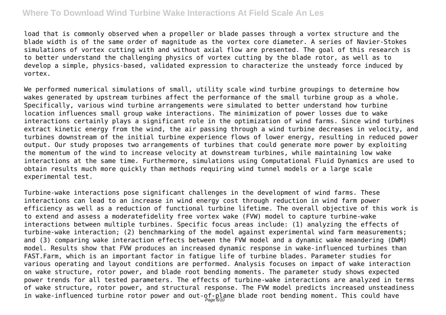load that is commonly observed when a propeller or blade passes through a vortex structure and the blade width is of the same order of magnitude as the vortex core diameter. A series of Navier-Stokes simulations of vortex cutting with and without axial flow are presented. The goal of this research is to better understand the challenging physics of vortex cutting by the blade rotor, as well as to develop a simple, physics-based, validated expression to characterize the unsteady force induced by vortex.

We performed numerical simulations of small, utility scale wind turbine groupings to determine how wakes generated by upstream turbines affect the performance of the small turbine group as a whole. Specifically, various wind turbine arrangements were simulated to better understand how turbine location influences small group wake interactions. The minimization of power losses due to wake interactions certainly plays a significant role in the optimization of wind farms. Since wind turbines extract kinetic energy from the wind, the air passing through a wind turbine decreases in velocity, and turbines downstream of the initial turbine experience flows of lower energy, resulting in reduced power output. Our study proposes two arrangements of turbines that could generate more power by exploiting the momentum of the wind to increase velocity at downstream turbines, while maintaining low wake interactions at the same time. Furthermore, simulations using Computational Fluid Dynamics are used to obtain results much more quickly than methods requiring wind tunnel models or a large scale experimental test.

Turbine-wake interactions pose significant challenges in the development of wind farms. These interactions can lead to an increase in wind energy cost through reduction in wind farm power efficiency as well as a reduction of functional turbine lifetime. The overall objective of this work is to extend and assess a moderatefidelity free vortex wake (FVW) model to capture turbine-wake interactions between multiple turbines. Specific focus areas include: (1) analyzing the effects of turbine-wake interaction; (2) benchmarking of the model against experimental wind farm measurements; and (3) comparing wake interaction effects between the FVW model and a dynamic wake meandering (DWM) model. Results show that FVW produces an increased dynamic response in wake-influenced turbines than FAST.Farm, which is an important factor in fatigue life of turbine blades. Parameter studies for various operating and layout conditions are performed. Analysis focuses on impact of wake interaction on wake structure, rotor power, and blade root bending moments. The parameter study shows expected power trends for all tested parameters. The effects of turbine-wake interactions are analyzed in terms of wake structure, rotor power, and structural response. The FVW model predicts increased unsteadiness in wake-influenced turbine rotor power and out-of-plane blade root bending moment. This could have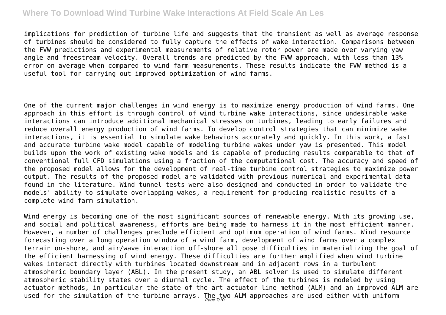implications for prediction of turbine life and suggests that the transient as well as average response of turbines should be considered to fully capture the effects of wake interaction. Comparisons between the FVW predictions and experimental measurements of relative rotor power are made over varying yaw angle and freestream velocity. Overall trends are predicted by the FVW approach, with less than 13% error on average when compared to wind farm measurements. These results indicate the FVW method is a useful tool for carrying out improved optimization of wind farms.

One of the current major challenges in wind energy is to maximize energy production of wind farms. One approach in this effort is through control of wind turbine wake interactions, since undesirable wake interactions can introduce additional mechanical stresses on turbines, leading to early failures and reduce overall energy production of wind farms. To develop control strategies that can minimize wake interactions, it is essential to simulate wake behaviors accurately and quickly. In this work, a fast and accurate turbine wake model capable of modeling turbine wakes under yaw is presented. This model builds upon the work of existing wake models and is capable of producing results comparable to that of conventional full CFD simulations using a fraction of the computational cost. The accuracy and speed of the proposed model allows for the development of real-time turbine control strategies to maximize power output. The results of the proposed model are validated with previous numerical and experimental data found in the literature. Wind tunnel tests were also designed and conducted in order to validate the models' ability to simulate overlapping wakes, a requirement for producing realistic results of a complete wind farm simulation.

Wind energy is becoming one of the most significant sources of renewable energy. With its growing use, and social and political awareness, efforts are being made to harness it in the most efficient manner. However, a number of challenges preclude efficient and optimum operation of wind farms. Wind resource forecasting over a long operation window of a wind farm, development of wind farms over a complex terrain on-shore, and air/wave interaction off-shore all pose difficulties in materializing the goal of the efficient harnessing of wind energy. These difficulties are further amplified when wind turbine wakes interact directly with turbines located downstream and in adjacent rows in a turbulent atmospheric boundary layer (ABL). In the present study, an ABL solver is used to simulate different atmospheric stability states over a diurnal cycle. The effect of the turbines is modeled by using actuator methods, in particular the state-of-the-art actuator line method (ALM) and an improved ALM are used for the simulation of the turbine arrays. The two ALM approaches are used either with uniform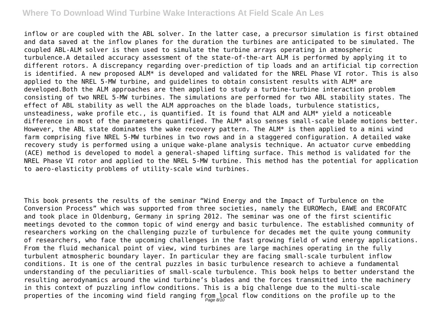inflow or are coupled with the ABL solver. In the latter case, a precursor simulation is first obtained and data saved at the inflow planes for the duration the turbines are anticipated to be simulated. The coupled ABL-ALM solver is then used to simulate the turbine arrays operating in atmospheric turbulence.A detailed accuracy assessment of the state-of-the-art ALM is performed by applying it to different rotors. A discrepancy regarding over-prediction of tip loads and an artificial tip correction is identified. A new proposed ALM\* is developed and validated for the NREL Phase VI rotor. This is also applied to the NREL 5-MW turbine, and guidelines to obtain consistent results with ALM\* are developed.Both the ALM approaches are then applied to study a turbine-turbine interaction problem consisting of two NREL 5-MW turbines. The simulations are performed for two ABL stability states. The effect of ABL stability as well the ALM approaches on the blade loads, turbulence statistics, unsteadiness, wake profile etc., is quantified. It is found that ALM and ALM\* yield a noticeable difference in most of the parameters quantified. The ALM\* also senses small-scale blade motions better. However, the ABL state dominates the wake recovery pattern. The ALM\* is then applied to a mini wind farm comprising five NREL 5-MW turbines in two rows and in a staggered configuration. A detailed wake recovery study is performed using a unique wake-plane analysis technique. An actuator curve embedding (ACE) method is developed to model a general-shaped lifting surface. This method is validated for the NREL Phase VI rotor and applied to the NREL 5-MW turbine. This method has the potential for application to aero-elasticity problems of utility-scale wind turbines.

This book presents the results of the seminar "Wind Energy and the Impact of Turbulence on the Conversion Process" which was supported from three societies, namely the EUROMech, EAWE and ERCOFATC and took place in Oldenburg, Germany in spring 2012. The seminar was one of the first scientific meetings devoted to the common topic of wind energy and basic turbulence. The established community of researchers working on the challenging puzzle of turbulence for decades met the quite young community of researchers, who face the upcoming challenges in the fast growing field of wind energy applications. From the fluid mechanical point of view, wind turbines are large machines operating in the fully turbulent atmospheric boundary layer. In particular they are facing small-scale turbulent inflow conditions. It is one of the central puzzles in basic turbulence research to achieve a fundamental understanding of the peculiarities of small-scale turbulence. This book helps to better understand the resulting aerodynamics around the wind turbine's blades and the forces transmitted into the machinery in this context of puzzling inflow conditions. This is a big challenge due to the multi-scale properties of the incoming wind field ranging from local flow conditions on the profile up to the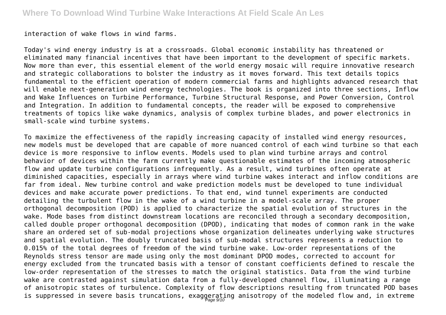interaction of wake flows in wind farms.

Today's wind energy industry is at a crossroads. Global economic instability has threatened or eliminated many financial incentives that have been important to the development of specific markets. Now more than ever, this essential element of the world energy mosaic will require innovative research and strategic collaborations to bolster the industry as it moves forward. This text details topics fundamental to the efficient operation of modern commercial farms and highlights advanced research that will enable next-generation wind energy technologies. The book is organized into three sections, Inflow and Wake Influences on Turbine Performance, Turbine Structural Response, and Power Conversion, Control and Integration. In addition to fundamental concepts, the reader will be exposed to comprehensive treatments of topics like wake dynamics, analysis of complex turbine blades, and power electronics in small-scale wind turbine systems.

To maximize the effectiveness of the rapidly increasing capacity of installed wind energy resources, new models must be developed that are capable of more nuanced control of each wind turbine so that each device is more responsive to inflow events. Models used to plan wind turbine arrays and control behavior of devices within the farm currently make questionable estimates of the incoming atmospheric flow and update turbine configurations infrequently. As a result, wind turbines often operate at diminished capacities, especially in arrays where wind turbine wakes interact and inflow conditions are far from ideal. New turbine control and wake prediction models must be developed to tune individual devices and make accurate power predictions. To that end, wind tunnel experiments are conducted detailing the turbulent flow in the wake of a wind turbine in a model-scale array. The proper orthogonal decomposition (POD) is applied to characterize the spatial evolution of structures in the wake. Mode bases from distinct downstream locations are reconciled through a secondary decomposition, called double proper orthogonal decomposition (DPOD), indicating that modes of common rank in the wake share an ordered set of sub-modal projections whose organization delineates underlying wake structures and spatial evolution. The doubly truncated basis of sub-modal structures represents a reduction to 0.015% of the total degrees of freedom of the wind turbine wake. Low-order representations of the Reynolds stress tensor are made using only the most dominant DPOD modes, corrected to account for energy excluded from the truncated basis with a tensor of constant coefficients defined to rescale the low-order representation of the stresses to match the original statistics. Data from the wind turbine wake are contrasted against simulation data from a fully-developed channel flow, illuminating a range of anisotropic states of turbulence. Complexity of flow descriptions resulting from truncated POD bases is suppressed in severe basis truncations, exaggerating anisotropy of the modeled flow and, in extreme